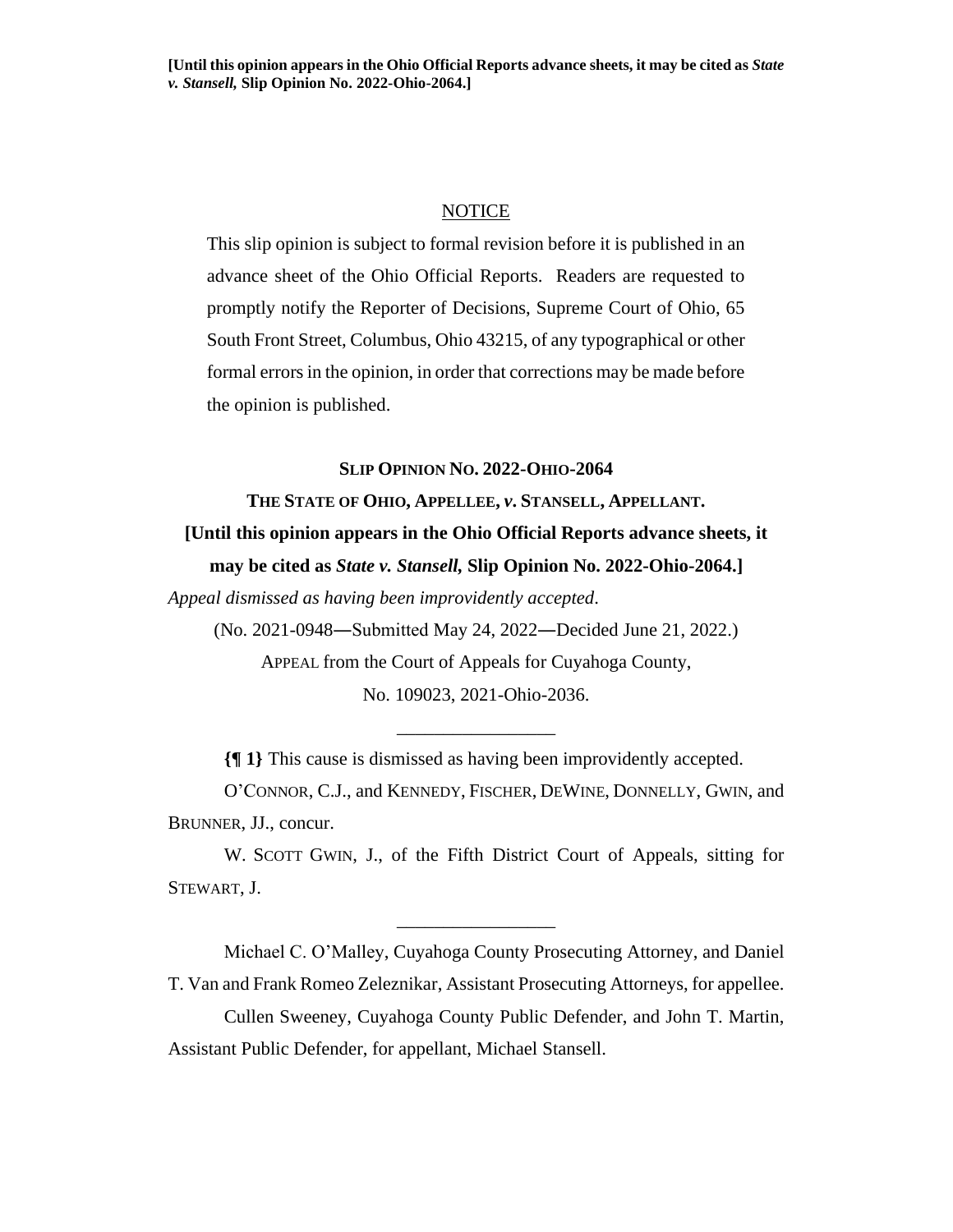## **NOTICE**

This slip opinion is subject to formal revision before it is published in an advance sheet of the Ohio Official Reports. Readers are requested to promptly notify the Reporter of Decisions, Supreme Court of Ohio, 65 South Front Street, Columbus, Ohio 43215, of any typographical or other formal errors in the opinion, in order that corrections may be made before the opinion is published.

## **SLIP OPINION NO. 2022-OHIO-2064**

## **THE STATE OF OHIO, APPELLEE,** *v***. STANSELL, APPELLANT. [Until this opinion appears in the Ohio Official Reports advance sheets, it may be cited as** *State v. Stansell,* **Slip Opinion No. 2022-Ohio-2064.]**

*Appeal dismissed as having been improvidently accepted*.

(No. 2021-0948―Submitted May 24, 2022―Decided June 21, 2022.)

APPEAL from the Court of Appeals for Cuyahoga County,

No. 109023, 2021-Ohio-2036.

\_\_\_\_\_\_\_\_\_\_\_\_\_\_\_\_\_

**{¶ 1}** This cause is dismissed as having been improvidently accepted.

O'CONNOR, C.J., and KENNEDY, FISCHER, DEWINE, DONNELLY, GWIN, and BRUNNER, JJ., concur.

W. SCOTT GWIN, J., of the Fifth District Court of Appeals, sitting for STEWART, J.

\_\_\_\_\_\_\_\_\_\_\_\_\_\_\_\_\_

Michael C. O'Malley, Cuyahoga County Prosecuting Attorney, and Daniel T. Van and Frank Romeo Zeleznikar, Assistant Prosecuting Attorneys, for appellee.

Cullen Sweeney, Cuyahoga County Public Defender, and John T. Martin, Assistant Public Defender, for appellant, Michael Stansell.